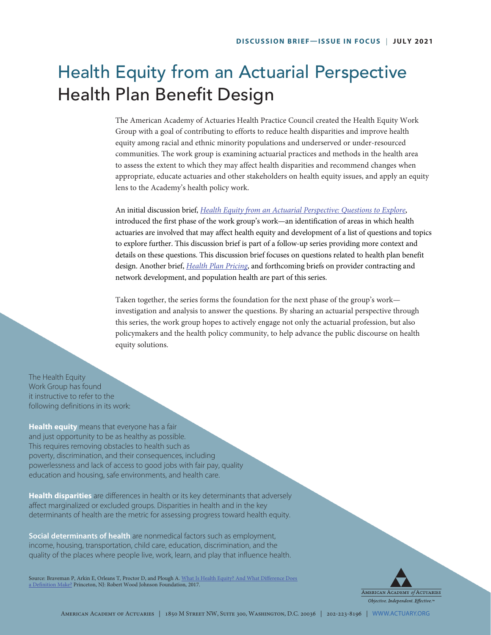# Health Equity from an Actuarial Perspective Health Plan Benefit Design

The American Academy of Actuaries Health Practice Council created the Health Equity Work Group with a goal of contributing to efforts to reduce health disparities and improve health equity among racial and ethnic minority populations and underserved or under-resourced communities. The work group is examining actuarial practices and methods in the health area to assess the extent to which they may affect health disparities and recommend changes when appropriate, educate actuaries and other stakeholders on health equity issues, and apply an equity lens to the Academy's health policy work.

An initial discussion brief, *[Health Equity from an Actuarial Perspective: Questions to Explore](https://www.actuary.org/sites/default/files/2021-03/Health_Equity_Discussion_Brief_3.21.pdf)*, introduced the first phase of the work group's work—an identification of areas in which health actuaries are involved that may affect health equity and development of a list of questions and topics to explore further. This discussion brief is part of a follow-up series providing more context and details on these questions. This discussion brief focuses on questions related to health plan benefit design. Another brief, *[Health Plan Pricing](https://www.actuary.org/sites/default/files/2021-05/Health_Equity_Pricing_Discussion_Brief_05.2021.pdf)*, and forthcoming briefs on provider contracting and network development, and population health are part of this series.

Taken together, the series forms the foundation for the next phase of the group's work investigation and analysis to answer the questions. By sharing an actuarial perspective through this series, the work group hopes to actively engage not only the actuarial profession, but also policymakers and the health policy community, to help advance the public discourse on health equity solutions.

The Health Equity Work Group has found it instructive to refer to the following definitions in its work:

**Health equity** means that everyone has a fair and just opportunity to be as healthy as possible. This requires removing obstacles to health such as poverty, discrimination, and their consequences, including powerlessness and lack of access to good jobs with fair pay, quality education and housing, safe environments, and health care.

**Health disparities** are differences in health or its key determinants that adversely affect marginalized or excluded groups. Disparities in health and in the key determinants of health are the metric for assessing progress toward health equity.

**Social determinants of health** are nonmedical factors such as employment, income, housing, transportation, child care, education, discrimination, and the quality of the places where people live, work, learn, and play that influence health.

Source: Braveman P, Arkin E, Orleans T, Proctor D, and Plough A. What Is Health Equity? And What Difference Does [a Definition Make?](https://www.rwjf.org/en/library/research/2017/05/what-is-health-equity-.html) Princeton, NJ: Robert Wood Johnson Foundation, 2017.

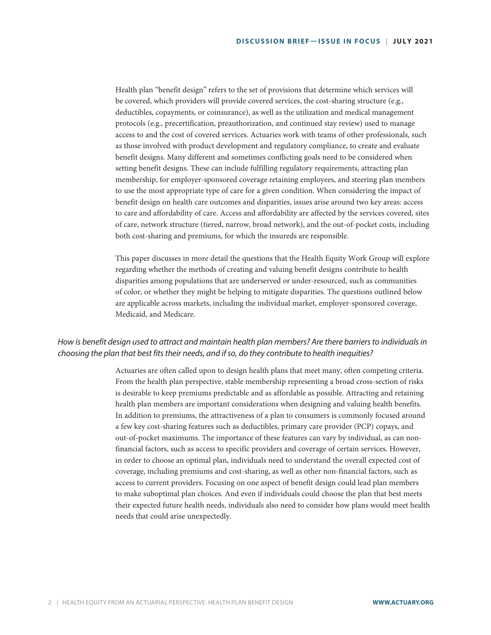Health plan "benefit design" refers to the set of provisions that determine which services will be covered, which providers will provide covered services, the cost-sharing structure (e.g., deductibles, copayments, or coinsurance), as well as the utilization and medical management protocols (e.g., precertification, preauthorization, and continued stay review) used to manage access to and the cost of covered services. Actuaries work with teams of other professionals, such as those involved with product development and regulatory compliance, to create and evaluate benefit designs. Many different and sometimes conflicting goals need to be considered when setting benefit designs. These can include fulfilling regulatory requirements, attracting plan membership, for employer-sponsored coverage retaining employees, and steering plan members to use the most appropriate type of care for a given condition. When considering the impact of benefit design on health care outcomes and disparities, issues arise around two key areas: access to care and affordability of care. Access and affordability are affected by the services covered, sites of care, network structure (tiered, narrow, broad network), and the out-of-pocket costs, including both cost-sharing and premiums, for which the insureds are responsible.

This paper discusses in more detail the questions that the Health Equity Work Group will explore regarding whether the methods of creating and valuing benefit designs contribute to health disparities among populations that are underserved or under-resourced, such as communities of color, or whether they might be helping to mitigate disparities. The questions outlined below are applicable across markets, including the individual market, employer-sponsored coverage, Medicaid, and Medicare.

### *How is benefit design used to attract and maintain health plan members? Are there barriers to individuals in choosing the plan that best fits their needs, and if so, do they contribute to health inequities?*

Actuaries are often called upon to design health plans that meet many, often competing criteria. From the health plan perspective, stable membership representing a broad cross-section of risks is desirable to keep premiums predictable and as affordable as possible. Attracting and retaining health plan members are important considerations when designing and valuing health benefits. In addition to premiums, the attractiveness of a plan to consumers is commonly focused around a few key cost-sharing features such as deductibles, primary care provider (PCP) copays, and out-of-pocket maximums. The importance of these features can vary by individual, as can nonfinancial factors, such as access to specific providers and coverage of certain services. However, in order to choose an optimal plan, individuals need to understand the overall expected cost of coverage, including premiums and cost-sharing, as well as other non-financial factors, such as access to current providers. Focusing on one aspect of benefit design could lead plan members to make suboptimal plan choices. And even if individuals could choose the plan that best meets their expected future health needs, individuals also need to consider how plans would meet health needs that could arise unexpectedly.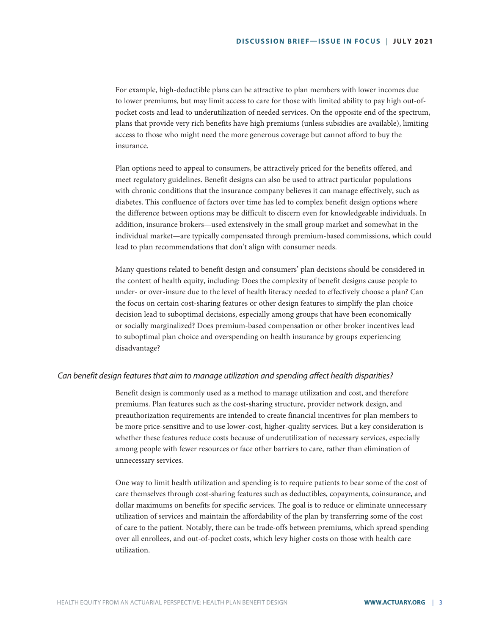For example, high-deductible plans can be attractive to plan members with lower incomes due to lower premiums, but may limit access to care for those with limited ability to pay high out-ofpocket costs and lead to underutilization of needed services. On the opposite end of the spectrum, plans that provide very rich benefits have high premiums (unless subsidies are available), limiting access to those who might need the more generous coverage but cannot afford to buy the insurance.

Plan options need to appeal to consumers, be attractively priced for the benefits offered, and meet regulatory guidelines. Benefit designs can also be used to attract particular populations with chronic conditions that the insurance company believes it can manage effectively, such as diabetes. This confluence of factors over time has led to complex benefit design options where the difference between options may be difficult to discern even for knowledgeable individuals. In addition, insurance brokers—used extensively in the small group market and somewhat in the individual market—are typically compensated through premium-based commissions, which could lead to plan recommendations that don't align with consumer needs.

Many questions related to benefit design and consumers' plan decisions should be considered in the context of health equity, including: Does the complexity of benefit designs cause people to under- or over-insure due to the level of health literacy needed to effectively choose a plan? Can the focus on certain cost-sharing features or other design features to simplify the plan choice decision lead to suboptimal decisions, especially among groups that have been economically or socially marginalized? Does premium-based compensation or other broker incentives lead to suboptimal plan choice and overspending on health insurance by groups experiencing disadvantage?

#### *Can benefit design features that aim to manage utilization and spending affect health disparities?*

Benefit design is commonly used as a method to manage utilization and cost, and therefore premiums. Plan features such as the cost-sharing structure, provider network design, and preauthorization requirements are intended to create financial incentives for plan members to be more price-sensitive and to use lower-cost, higher-quality services. But a key consideration is whether these features reduce costs because of underutilization of necessary services, especially among people with fewer resources or face other barriers to care, rather than elimination of unnecessary services.

One way to limit health utilization and spending is to require patients to bear some of the cost of care themselves through cost-sharing features such as deductibles, copayments, coinsurance, and dollar maximums on benefits for specific services. The goal is to reduce or eliminate unnecessary utilization of services and maintain the affordability of the plan by transferring some of the cost of care to the patient. Notably, there can be trade-offs between premiums, which spread spending over all enrollees, and out-of-pocket costs, which levy higher costs on those with health care utilization.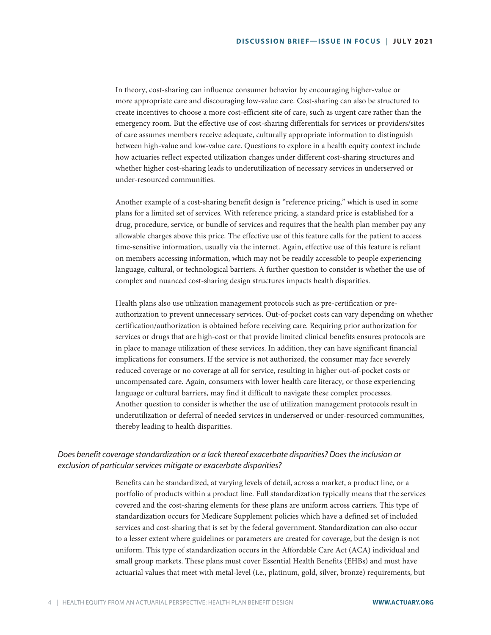In theory, cost-sharing can influence consumer behavior by encouraging higher-value or more appropriate care and discouraging low-value care. Cost-sharing can also be structured to create incentives to choose a more cost-efficient site of care, such as urgent care rather than the emergency room. But the effective use of cost-sharing differentials for services or providers/sites of care assumes members receive adequate, culturally appropriate information to distinguish between high-value and low-value care. Questions to explore in a health equity context include how actuaries reflect expected utilization changes under different cost-sharing structures and whether higher cost-sharing leads to underutilization of necessary services in underserved or under-resourced communities.

Another example of a cost-sharing benefit design is "reference pricing," which is used in some plans for a limited set of services. With reference pricing, a standard price is established for a drug, procedure, service, or bundle of services and requires that the health plan member pay any allowable charges above this price. The effective use of this feature calls for the patient to access time-sensitive information, usually via the internet. Again, effective use of this feature is reliant on members accessing information, which may not be readily accessible to people experiencing language, cultural, or technological barriers. A further question to consider is whether the use of complex and nuanced cost-sharing design structures impacts health disparities.

Health plans also use utilization management protocols such as pre-certification or preauthorization to prevent unnecessary services. Out-of-pocket costs can vary depending on whether certification/authorization is obtained before receiving care. Requiring prior authorization for services or drugs that are high-cost or that provide limited clinical benefits ensures protocols are in place to manage utilization of these services. In addition, they can have significant financial implications for consumers. If the service is not authorized, the consumer may face severely reduced coverage or no coverage at all for service, resulting in higher out-of-pocket costs or uncompensated care. Again, consumers with lower health care literacy, or those experiencing language or cultural barriers, may find it difficult to navigate these complex processes. Another question to consider is whether the use of utilization management protocols result in underutilization or deferral of needed services in underserved or under-resourced communities, thereby leading to health disparities.

## *Does benefit coverage standardization or a lack thereof exacerbate disparities? Does the inclusion or exclusion of particular services mitigate or exacerbate disparities?*

Benefits can be standardized, at varying levels of detail, across a market, a product line, or a portfolio of products within a product line. Full standardization typically means that the services covered and the cost-sharing elements for these plans are uniform across carriers. This type of standardization occurs for Medicare Supplement policies which have a defined set of included services and cost-sharing that is set by the federal government. Standardization can also occur to a lesser extent where guidelines or parameters are created for coverage, but the design is not uniform. This type of standardization occurs in the Affordable Care Act (ACA) individual and small group markets. These plans must cover Essential Health Benefits (EHBs) and must have actuarial values that meet with metal-level (i.e., platinum, gold, silver, bronze) requirements, but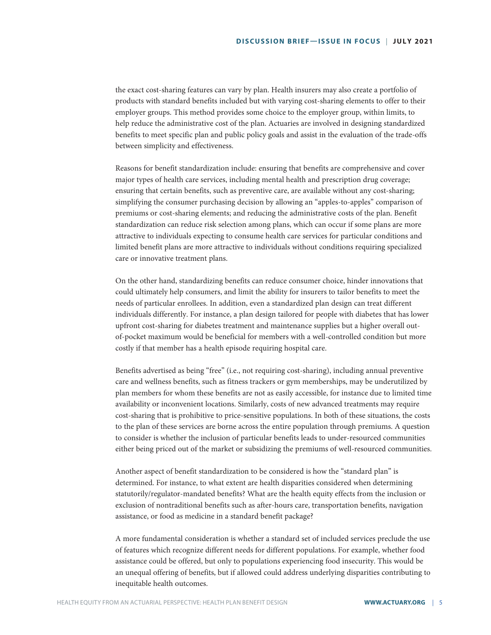the exact cost-sharing features can vary by plan. Health insurers may also create a portfolio of products with standard benefits included but with varying cost-sharing elements to offer to their employer groups. This method provides some choice to the employer group, within limits, to help reduce the administrative cost of the plan. Actuaries are involved in designing standardized benefits to meet specific plan and public policy goals and assist in the evaluation of the trade-offs between simplicity and effectiveness.

Reasons for benefit standardization include: ensuring that benefits are comprehensive and cover major types of health care services, including mental health and prescription drug coverage; ensuring that certain benefits, such as preventive care, are available without any cost-sharing; simplifying the consumer purchasing decision by allowing an "apples-to-apples" comparison of premiums or cost-sharing elements; and reducing the administrative costs of the plan. Benefit standardization can reduce risk selection among plans, which can occur if some plans are more attractive to individuals expecting to consume health care services for particular conditions and limited benefit plans are more attractive to individuals without conditions requiring specialized care or innovative treatment plans.

On the other hand, standardizing benefits can reduce consumer choice, hinder innovations that could ultimately help consumers, and limit the ability for insurers to tailor benefits to meet the needs of particular enrollees. In addition, even a standardized plan design can treat different individuals differently. For instance, a plan design tailored for people with diabetes that has lower upfront cost-sharing for diabetes treatment and maintenance supplies but a higher overall outof-pocket maximum would be beneficial for members with a well-controlled condition but more costly if that member has a health episode requiring hospital care.

Benefits advertised as being "free" (i.e., not requiring cost-sharing), including annual preventive care and wellness benefits, such as fitness trackers or gym memberships, may be underutilized by plan members for whom these benefits are not as easily accessible, for instance due to limited time availability or inconvenient locations. Similarly, costs of new advanced treatments may require cost-sharing that is prohibitive to price-sensitive populations. In both of these situations, the costs to the plan of these services are borne across the entire population through premiums. A question to consider is whether the inclusion of particular benefits leads to under-resourced communities either being priced out of the market or subsidizing the premiums of well-resourced communities.

Another aspect of benefit standardization to be considered is how the "standard plan" is determined. For instance, to what extent are health disparities considered when determining statutorily/regulator-mandated benefits? What are the health equity effects from the inclusion or exclusion of nontraditional benefits such as after-hours care, transportation benefits, navigation assistance, or food as medicine in a standard benefit package?

A more fundamental consideration is whether a standard set of included services preclude the use of features which recognize different needs for different populations. For example, whether food assistance could be offered, but only to populations experiencing food insecurity. This would be an unequal offering of benefits, but if allowed could address underlying disparities contributing to inequitable health outcomes.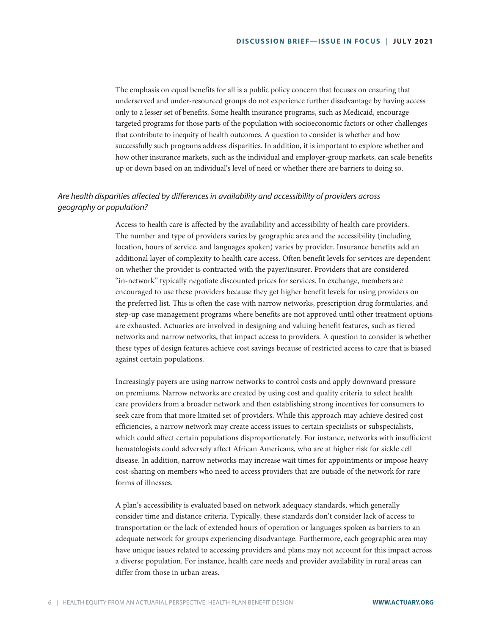The emphasis on equal benefits for all is a public policy concern that focuses on ensuring that underserved and under-resourced groups do not experience further disadvantage by having access only to a lesser set of benefits. Some health insurance programs, such as Medicaid, encourage targeted programs for those parts of the population with socioeconomic factors or other challenges that contribute to inequity of health outcomes. A question to consider is whether and how successfully such programs address disparities. In addition, it is important to explore whether and how other insurance markets, such as the individual and employer-group markets, can scale benefits up or down based on an individual's level of need or whether there are barriers to doing so.

## *Are health disparities affected by differences in availability and accessibility of providers across geography or population?*

Access to health care is affected by the availability and accessibility of health care providers. The number and type of providers varies by geographic area and the accessibility (including location, hours of service, and languages spoken) varies by provider. Insurance benefits add an additional layer of complexity to health care access. Often benefit levels for services are dependent on whether the provider is contracted with the payer/insurer. Providers that are considered "in-network" typically negotiate discounted prices for services. In exchange, members are encouraged to use these providers because they get higher benefit levels for using providers on the preferred list. This is often the case with narrow networks, prescription drug formularies, and step-up case management programs where benefits are not approved until other treatment options are exhausted. Actuaries are involved in designing and valuing benefit features, such as tiered networks and narrow networks, that impact access to providers. A question to consider is whether these types of design features achieve cost savings because of restricted access to care that is biased against certain populations.

Increasingly payers are using narrow networks to control costs and apply downward pressure on premiums. Narrow networks are created by using cost and quality criteria to select health care providers from a broader network and then establishing strong incentives for consumers to seek care from that more limited set of providers. While this approach may achieve desired cost efficiencies, a narrow network may create access issues to certain specialists or subspecialists, which could affect certain populations disproportionately. For instance, networks with insufficient hematologists could adversely affect African Americans, who are at higher risk for sickle cell disease. In addition, narrow networks may increase wait times for appointments or impose heavy cost-sharing on members who need to access providers that are outside of the network for rare forms of illnesses.

A plan's accessibility is evaluated based on network adequacy standards, which generally consider time and distance criteria. Typically, these standards don't consider lack of access to transportation or the lack of extended hours of operation or languages spoken as barriers to an adequate network for groups experiencing disadvantage. Furthermore, each geographic area may have unique issues related to accessing providers and plans may not account for this impact across a diverse population. For instance, health care needs and provider availability in rural areas can differ from those in urban areas.